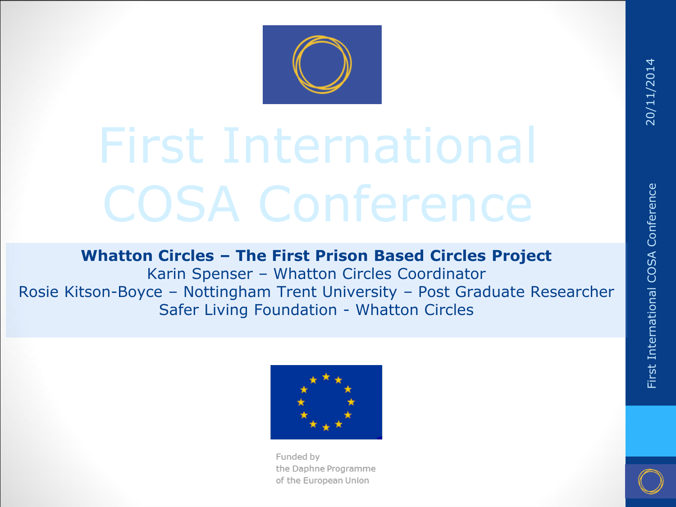

## First International COSA Conference

#### **Whatton Circles – The First Prison Based Circles Project**

Karin Spenser – Whatton Circles Coordinator Rosie Kitson-Boyce – Nottingham Trent University – Post Graduate Researcher Safer Living Foundation - Whatton Circles



Funded by the Daphne Programme of the European Union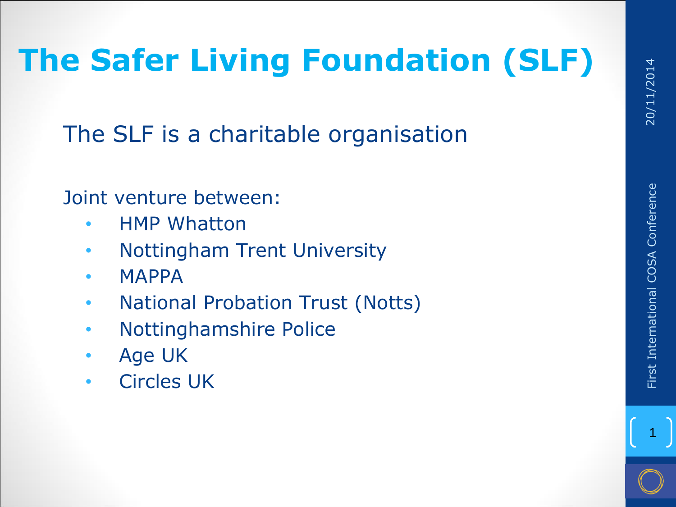## **The Safer Living Foundation (SLF)**

The SLF is a charitable organisation

Joint venture between:

- HMP Whatton
- Nottingham Trent University
- MAPPA
- National Probation Trust (Notts)
- Nottinghamshire Police
- Age UK
- Circles UK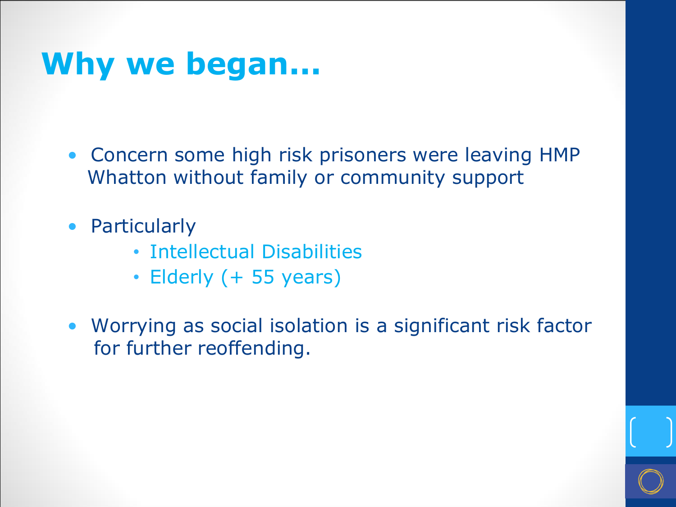#### **Why we began...**

- Concern some high risk prisoners were leaving HMP Whatton without family or community support
- Particularly
	- Intellectual Disabilities
	- Elderly (+ 55 years)
- Worrying as social isolation is a significant risk factor for further reoffending.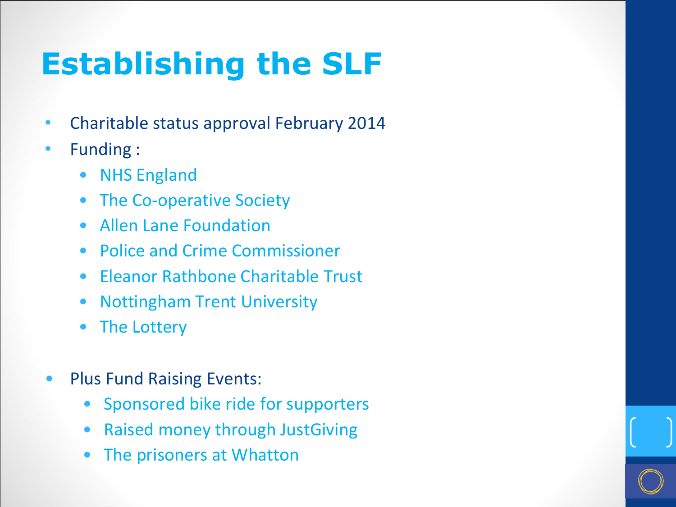### **Establishing the SLF**

- Charitable status approval February 2014
- Funding :
	- NHS England
	- The Co-operative Society
	- Allen Lane Foundation
	- Police and Crime Commissioner
	- Eleanor Rathbone Charitable Trust
	- Nottingham Trent University
	- The Lottery
- Plus Fund Raising Events:
	- Sponsored bike ride for supporters
	- Raised money through JustGiving
	- The prisoners at Whatton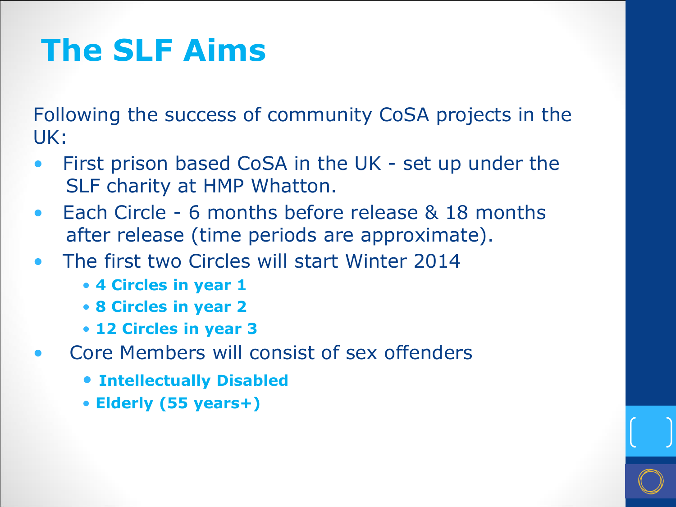#### **The SLF Aims**

Following the success of community CoSA projects in the UK:

- First prison based CoSA in the UK set up under the SLF charity at HMP Whatton.
- Each Circle 6 months before release & 18 months after release (time periods are approximate).
- The first two Circles will start Winter 2014
	- **4 Circles in year 1**
	- **8 Circles in year 2**
	- **12 Circles in year 3**
- Core Members will consist of sex offenders
	- **Intellectually Disabled**
	- **Elderly (55 years+)**

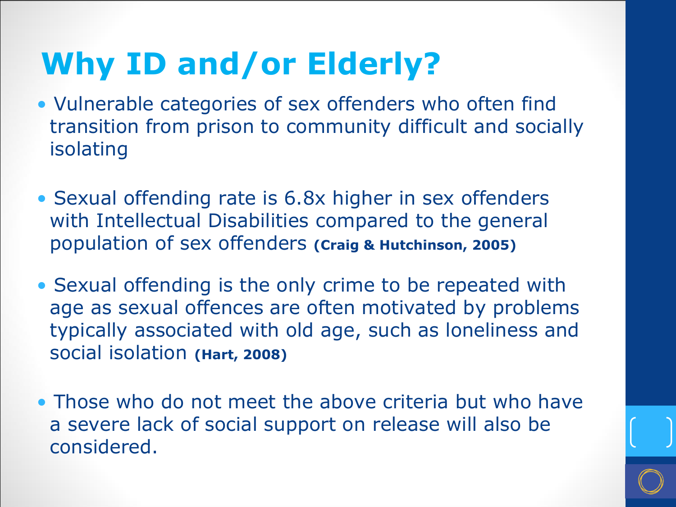### **Why ID and/or Elderly?**

- Vulnerable categories of sex offenders who often find transition from prison to community difficult and socially isolating
- Sexual offending rate is 6.8x higher in sex offenders with Intellectual Disabilities compared to the general population of sex offenders **(Craig & Hutchinson, 2005)**
- Sexual offending is the only crime to be repeated with age as sexual offences are often motivated by problems typically associated with old age, such as loneliness and social isolation **(Hart, 2008)**
- Those who do not meet the above criteria but who have a severe lack of social support on release will also be considered.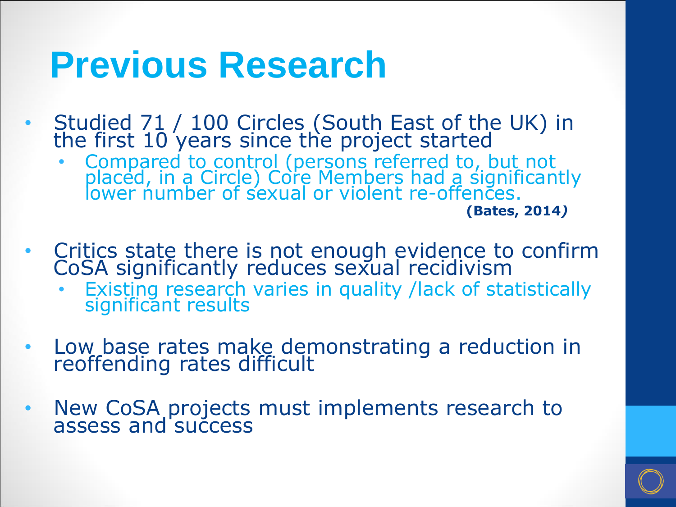## **Previous Research**

- Studied 71 / 100 Circles (South East of the UK) in the first 10 years since the project started
	- Compared to control (persons referred to, but not placed, in a Circle) Core Members had a significantly lower number of sexual or violent re-offences.

**(Bates, 2014***)*

- Critics state there is not enough evidence to confirm CoSA significantly reduces sexual recidivism
	- Existing research varies in quality /lack of statistically significant results
- Low base rates make demonstrating a reduction in reoffending rates difficult
- New CoSA projects must implements research to assess and success

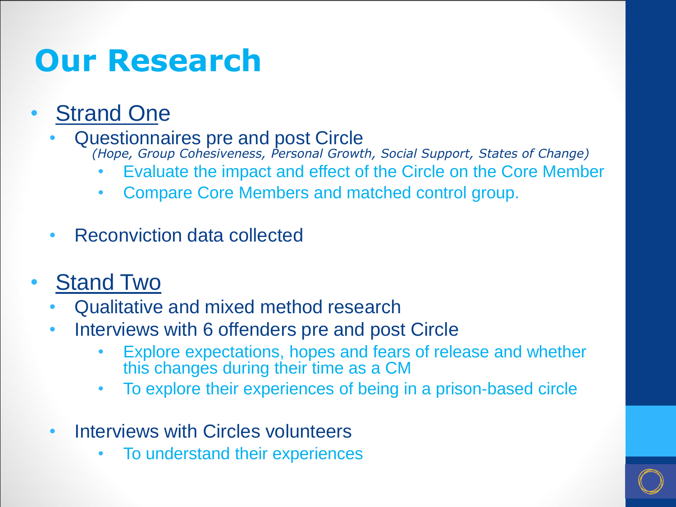#### **Our Research**

#### • Strand One

• Questionnaires pre and post Circle *(Hope, Group Cohesiveness, Personal Growth, Social Support, States of Change)*

- Evaluate the impact and effect of the Circle on the Core Member
- Compare Core Members and matched control group.
- Reconviction data collected
- **Stand Two** 
	- Qualitative and mixed method research
	- Interviews with 6 offenders pre and post Circle
		- Explore expectations, hopes and fears of release and whether this changes during their time as a CM
		- To explore their experiences of being in a prison-based circle
	- Interviews with Circles volunteers
		- To understand their experiences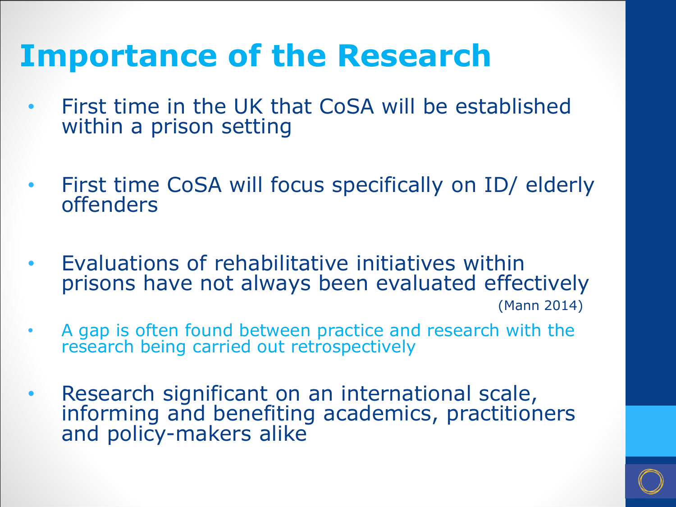#### **Importance of the Research**

- First time in the UK that CoSA will be established within a prison setting
- First time CoSA will focus specifically on ID/ elderly offenders
- Evaluations of rehabilitative initiatives within prisons have not always been evaluated effectively

(Mann 2014)

- A gap is often found between practice and research with the research being carried out retrospectively
- Research significant on an international scale, informing and benefiting academics, practitioners and policy-makers alike